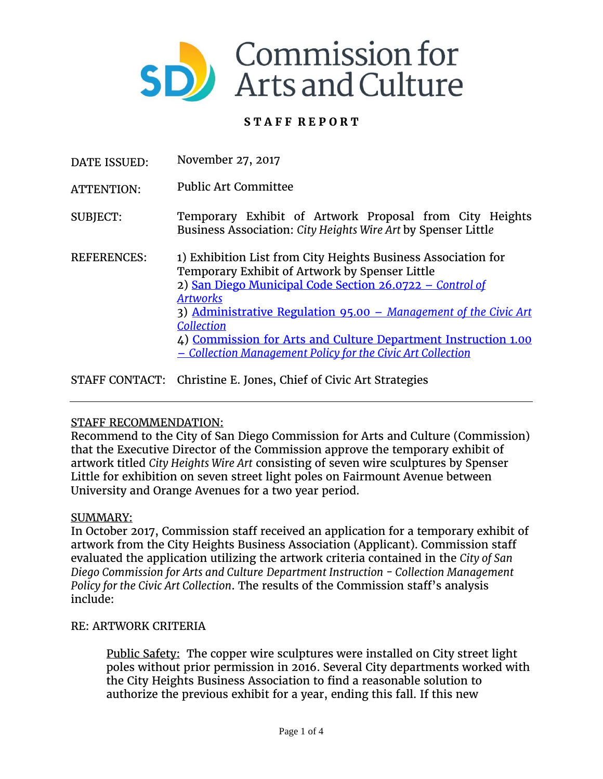

# **S T A F F R E P O R T**

- DATE ISSUED: November 27, 2017
- ATTENTION: Public Art Committee

SUBJECT: Temporary Exhibit of Artwork Proposal from City Heights Business Association: *City Heights Wire Art* by Spenser Littl*e*

- REFERENCES: 1) Exhibition List from City Heights Business Association for Temporary Exhibit of Artwork by Spenser Little 2) [San Diego Municipal Code Section 26.0722 –](http://docs.sandiego.gov/municode/MuniCodeChapter02/Ch02Art06Division07.pdf) *Control of [Artworks](http://docs.sandiego.gov/municode/MuniCodeChapter02/Ch02Art06Division07.pdf)* 3) [Administrative Regulation 95.00 –](https://www.sandiego.gov/sites/default/files/legacy/arts-culture/pdf/AR95.00.pdf) *Management of the Civic Art [Collection](https://www.sandiego.gov/sites/default/files/legacy/arts-culture/pdf/AR95.00.pdf)* 4) [Commission for Arts and Culture Department Instruction 1.00](https://www.sandiego.gov/sites/default/files/legacy/arts-culture/pdf/DI1.00.pdf) – *[Collection Management Policy for the Civic Art Collection](https://www.sandiego.gov/sites/default/files/legacy/arts-culture/pdf/DI1.00.pdf)*
- STAFF CONTACT: Christine E. Jones, Chief of Civic Art Strategies

## STAFF RECOMMENDATION:

Recommend to the City of San Diego Commission for Arts and Culture (Commission) that the Executive Director of the Commission approve the temporary exhibit of artwork titled *City Heights Wire Art* consisting of seven wire sculptures by Spenser Little for exhibition on seven street light poles on Fairmount Avenue between University and Orange Avenues for a two year period.

### SUMMARY:

In October 2017, Commission staff received an application for a temporary exhibit of artwork from the City Heights Business Association (Applicant). Commission staff evaluated the application utilizing the artwork criteria contained in the *City of San Diego Commission for Arts and Culture Department Instruction - Collection Management Policy for the Civic Art Collection*. The results of the Commission staff's analysis include:

### RE: ARTWORK CRITERIA

Public Safety: The copper wire sculptures were installed on City street light poles without prior permission in 2016. Several City departments worked with the City Heights Business Association to find a reasonable solution to authorize the previous exhibit for a year, ending this fall. If this new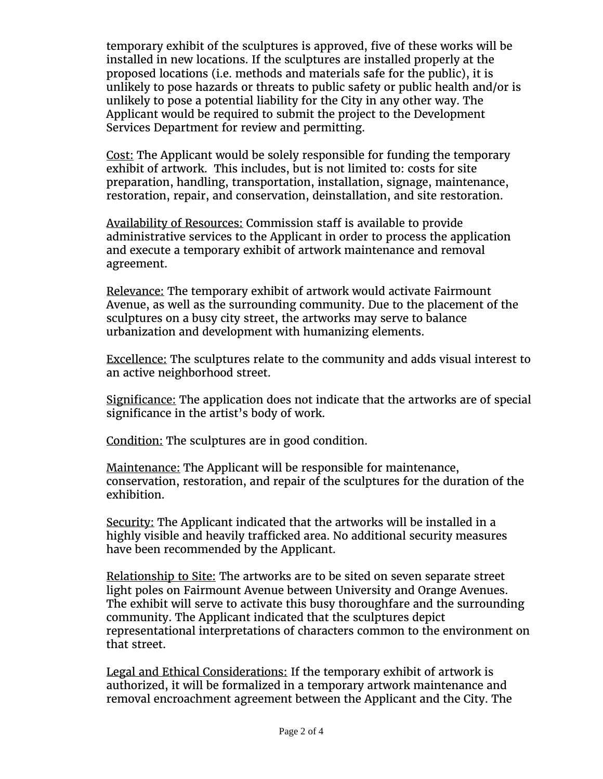temporary exhibit of the sculptures is approved, five of these works will be installed in new locations. If the sculptures are installed properly at the proposed locations (i.e. methods and materials safe for the public), it is unlikely to pose hazards or threats to public safety or public health and/or is unlikely to pose a potential liability for the City in any other way. The Applicant would be required to submit the project to the Development Services Department for review and permitting.

Cost: The Applicant would be solely responsible for funding the temporary exhibit of artwork. This includes, but is not limited to: costs for site preparation, handling, transportation, installation, signage, maintenance, restoration, repair, and conservation, deinstallation, and site restoration.

Availability of Resources: Commission staff is available to provide administrative services to the Applicant in order to process the application and execute a temporary exhibit of artwork maintenance and removal agreement.

Relevance: The temporary exhibit of artwork would activate Fairmount Avenue, as well as the surrounding community. Due to the placement of the sculptures on a busy city street, the artworks may serve to balance urbanization and development with humanizing elements.

Excellence: The sculptures relate to the community and adds visual interest to an active neighborhood street.

Significance: The application does not indicate that the artworks are of special significance in the artist's body of work.

Condition: The sculptures are in good condition.

Maintenance: The Applicant will be responsible for maintenance, conservation, restoration, and repair of the sculptures for the duration of the exhibition.

Security: The Applicant indicated that the artworks will be installed in a highly visible and heavily trafficked area. No additional security measures have been recommended by the Applicant.

Relationship to Site: The artworks are to be sited on seven separate street light poles on Fairmount Avenue between University and Orange Avenues. The exhibit will serve to activate this busy thoroughfare and the surrounding community. The Applicant indicated that the sculptures depict representational interpretations of characters common to the environment on that street.

Legal and Ethical Considerations: If the temporary exhibit of artwork is authorized, it will be formalized in a temporary artwork maintenance and removal encroachment agreement between the Applicant and the City. The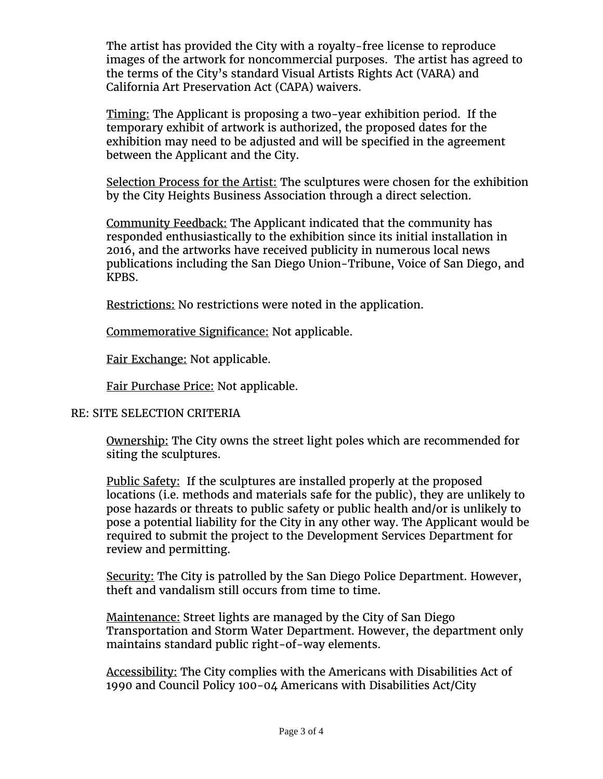The artist has provided the City with a royalty-free license to reproduce images of the artwork for noncommercial purposes. The artist has agreed to the terms of the City's standard Visual Artists Rights Act (VARA) and California Art Preservation Act (CAPA) waivers.

Timing: The Applicant is proposing a two-year exhibition period. If the temporary exhibit of artwork is authorized, the proposed dates for the exhibition may need to be adjusted and will be specified in the agreement between the Applicant and the City.

Selection Process for the Artist: The sculptures were chosen for the exhibition by the City Heights Business Association through a direct selection.

Community Feedback: The Applicant indicated that the community has responded enthusiastically to the exhibition since its initial installation in 2016, and the artworks have received publicity in numerous local news publications including the San Diego Union-Tribune, Voice of San Diego, and KPBS.

Restrictions: No restrictions were noted in the application.

Commemorative Significance: Not applicable.

Fair Exchange: Not applicable.

Fair Purchase Price: Not applicable.

## RE: SITE SELECTION CRITERIA

Ownership: The City owns the street light poles which are recommended for siting the sculptures.

Public Safety: If the sculptures are installed properly at the proposed locations (i.e. methods and materials safe for the public), they are unlikely to pose hazards or threats to public safety or public health and/or is unlikely to pose a potential liability for the City in any other way. The Applicant would be required to submit the project to the Development Services Department for review and permitting.

Security: The City is patrolled by the San Diego Police Department. However, theft and vandalism still occurs from time to time.

Maintenance: Street lights are managed by the City of San Diego Transportation and Storm Water Department. However, the department only maintains standard public right-of-way elements.

Accessibility: The City complies with the Americans with Disabilities Act of 1990 and Council Policy 100-04 Americans with Disabilities Act/City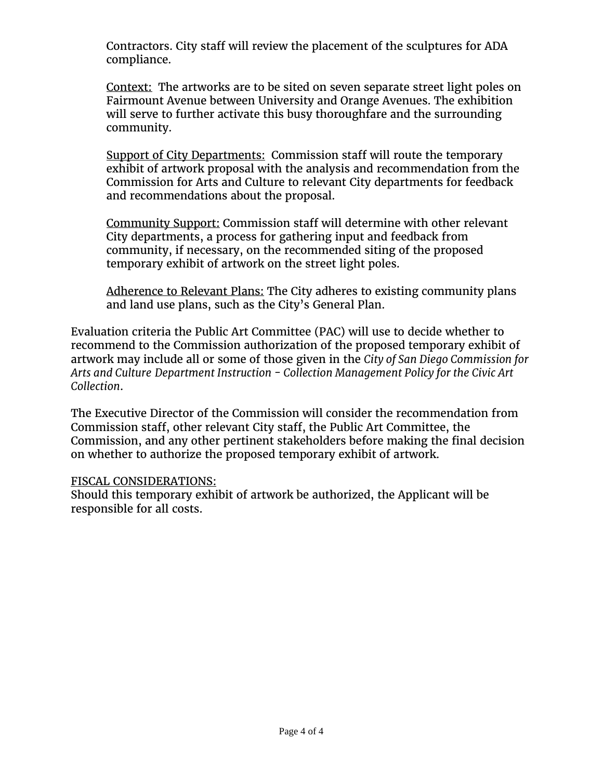Contractors. City staff will review the placement of the sculptures for ADA compliance.

Context: The artworks are to be sited on seven separate street light poles on Fairmount Avenue between University and Orange Avenues. The exhibition will serve to further activate this busy thoroughfare and the surrounding community.

Support of City Departments:Commission staff will route the temporary exhibit of artwork proposal with the analysis and recommendation from the Commission for Arts and Culture to relevant City departments for feedback and recommendations about the proposal.

Community Support: Commission staff will determine with other relevant City departments, a process for gathering input and feedback from community, if necessary, on the recommended siting of the proposed temporary exhibit of artwork on the street light poles.

Adherence to Relevant Plans: The City adheres to existing community plans and land use plans, such as the City's General Plan.

Evaluation criteria the Public Art Committee (PAC) will use to decide whether to recommend to the Commission authorization of the proposed temporary exhibit of artwork may include all or some of those given in the *City of San Diego Commission for Arts and Culture Department Instruction - Collection Management Policy for the Civic Art Collection*.

The Executive Director of the Commission will consider the recommendation from Commission staff, other relevant City staff, the Public Art Committee, the Commission, and any other pertinent stakeholders before making the final decision on whether to authorize the proposed temporary exhibit of artwork.

## FISCAL CONSIDERATIONS:

Should this temporary exhibit of artwork be authorized, the Applicant will be responsible for all costs.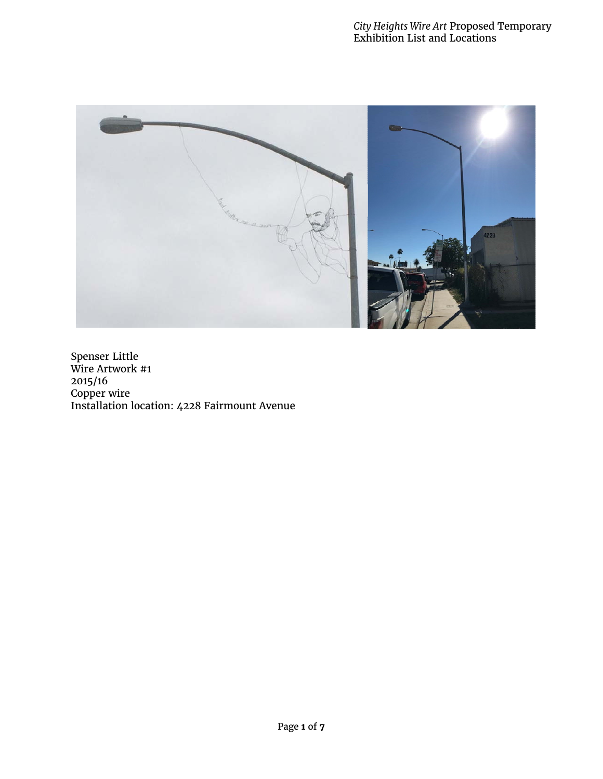

Spenser Little Wire Artwork #1 2015/16 Copper wire Installation location: 4228 Fairmount Avenue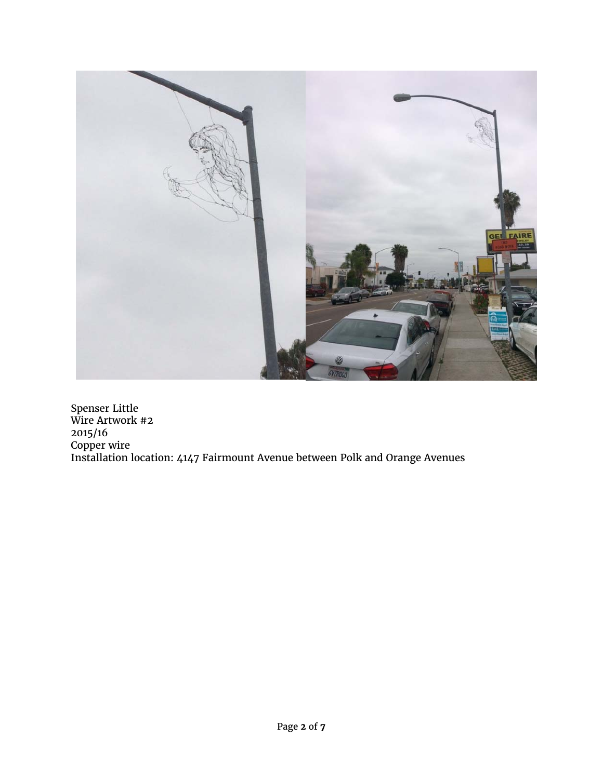

Spenser Little Wire Artwork #2 2015/16 Copper wire Installation location: 4147 Fairmount Avenue between Polk and Orange Avenues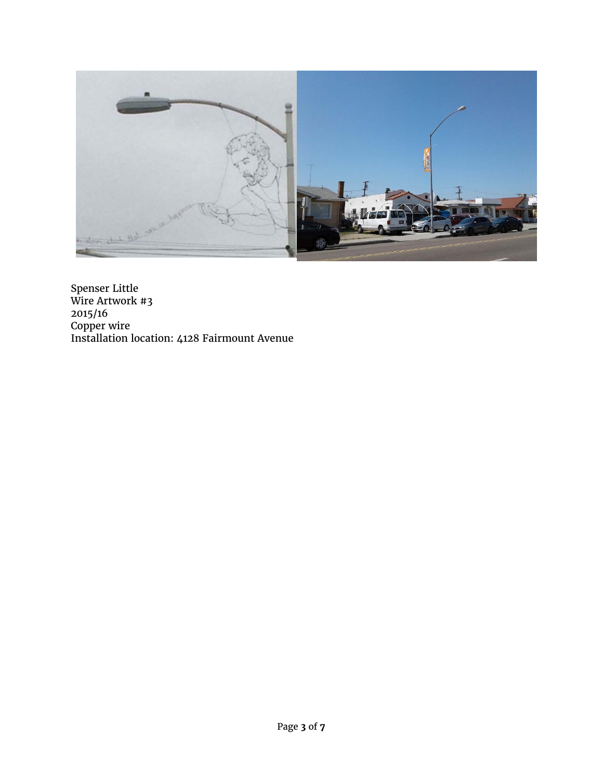

Spenser Little Wire Artwork #3 2015/16 Copper wire Installation location: 4128 Fairmount Avenue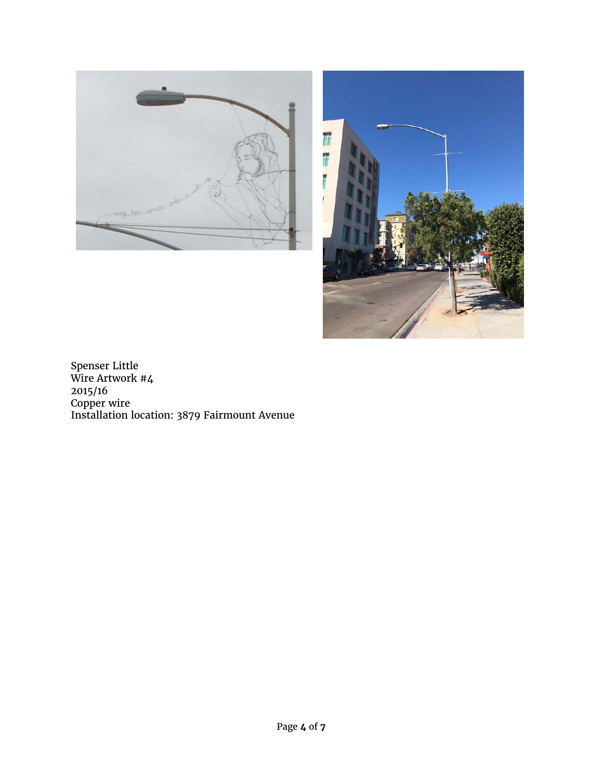



Spenser Little Wire Artwork #4 2015/16 Copper wire Installation location: 3879 Fairmount Avenue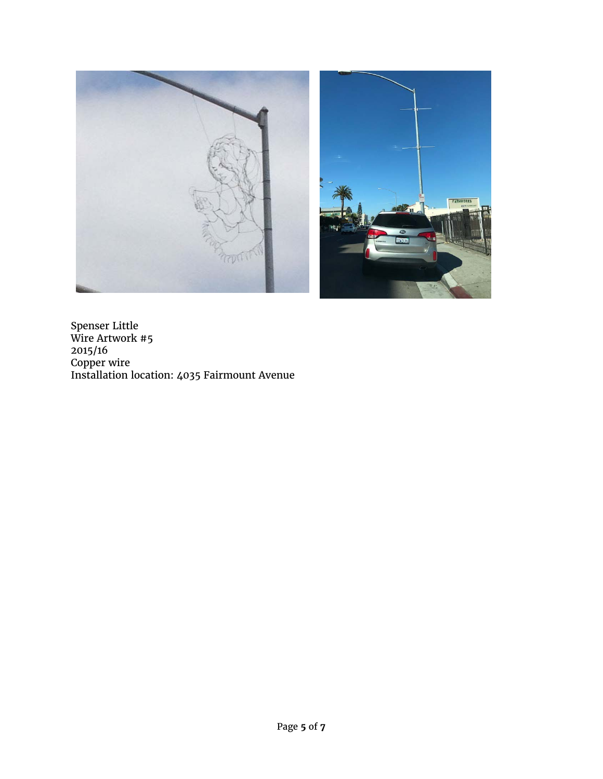

Spenser Little Wire Artwork #5 2015/16 Copper wire Installation location: 4035 Fairmount Avenue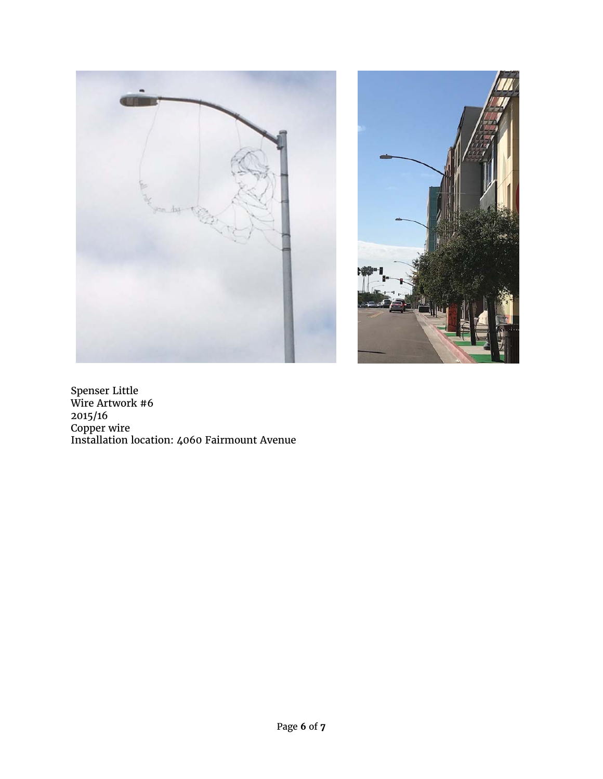



Spenser Little Wire Artwork #6 2015/16 Copper wire Installation location: 4060 Fairmount Avenue